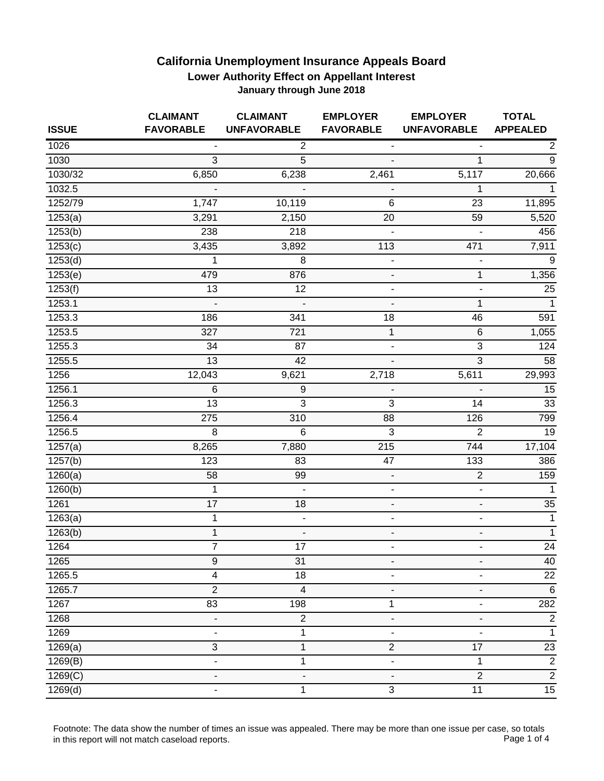| <b>ISSUE</b>          | <b>CLAIMANT</b><br><b>FAVORABLE</b> | <b>CLAIMANT</b><br><b>UNFAVORABLE</b> | <b>EMPLOYER</b><br><b>FAVORABLE</b> | <b>EMPLOYER</b><br><b>UNFAVORABLE</b> | <b>TOTAL</b><br><b>APPEALED</b> |
|-----------------------|-------------------------------------|---------------------------------------|-------------------------------------|---------------------------------------|---------------------------------|
| 1026                  |                                     | $\overline{2}$                        | $\overline{\phantom{a}}$            |                                       | $\overline{2}$                  |
| 1030                  | 3                                   | 5                                     |                                     | 1                                     | 9                               |
| 1030/32               | 6,850                               | 6,238                                 | 2,461                               | 5,117                                 | 20,666                          |
| 1032.5                |                                     |                                       |                                     | 1                                     | 1                               |
| 1252/79               | 1,747                               | 10,119                                | 6                                   | 23                                    | 11,895                          |
| 1253(a)               | 3,291                               | 2,150                                 | 20                                  | 59                                    | 5,520                           |
| 1253(b)               | 238                                 | 218                                   | $\overline{\phantom{a}}$            | $\blacksquare$                        | 456                             |
| 1253(c)               | 3,435                               | 3,892                                 | 113                                 | 471                                   | 7,911                           |
| 1253(d)               | 1                                   | 8                                     | $\qquad \qquad \blacksquare$        | $\qquad \qquad \blacksquare$          | 9                               |
| 1253(e)               | 479                                 | 876                                   | $\blacksquare$                      | 1                                     | 1,356                           |
| 1253(f)               | 13                                  | 12                                    | $\overline{\phantom{a}}$            | -                                     | 25                              |
| 1253.1                | $\overline{a}$                      | $\overline{a}$                        | $\frac{1}{2}$                       | 1                                     | $\overline{1}$                  |
| 1253.3                | 186                                 | 341                                   | 18                                  | 46                                    | 591                             |
| 1253.5                | 327                                 | 721                                   | $\mathbf{1}$                        | $\,6$                                 | 1,055                           |
| 1255.3                | 34                                  | 87                                    | $\blacksquare$                      | 3                                     | 124                             |
| 1255.5                | 13                                  | 42                                    | $\blacksquare$                      | $\overline{3}$                        | 58                              |
| 1256                  | 12,043                              | 9,621                                 | 2,718                               | 5,611                                 | 29,993                          |
| 1256.1                | 6                                   | 9                                     |                                     |                                       | 15                              |
| 1256.3                | 13                                  | 3                                     | 3                                   | 14                                    | 33                              |
| 1256.4                | 275                                 | 310                                   | 88                                  | 126                                   | 799                             |
| 1256.5                | 8                                   | 6                                     | 3                                   | $\overline{2}$                        | 19                              |
| 1257(a)               | 8,265                               | 7,880                                 | 215                                 | 744                                   | 17,104                          |
| $\overline{1}$ 257(b) | 123                                 | 83                                    | 47                                  | 133                                   | 386                             |
| 1260(a)               | 58                                  | 99                                    | $\blacksquare$                      | $\overline{2}$                        | 159                             |
| 1260(b)               | 1                                   |                                       | $\overline{\phantom{a}}$            | $\qquad \qquad \blacksquare$          | $\mathbf{1}$                    |
| 1261                  | 17                                  | 18                                    | $\blacksquare$                      | $\overline{\phantom{a}}$              | 35                              |
| 1263(a)               | $\mathbf{1}$                        | $\blacksquare$                        | $\blacksquare$                      | ä,                                    | $\mathbf{1}$                    |
| 1263(b)               | $\mathbf{1}$                        |                                       | $\overline{\phantom{a}}$            | $\overline{\phantom{a}}$              | $\overline{1}$                  |
| 1264                  | $\overline{7}$                      | 17                                    | $\blacksquare$                      | $\blacksquare$                        | $\overline{24}$                 |
| 1265                  | 9                                   | 31                                    | $\overline{\phantom{a}}$            | $\qquad \qquad \blacksquare$          | 40                              |
| 1265.5                | $\overline{\mathbf{4}}$             | 18                                    |                                     |                                       | $\overline{22}$                 |
| 1265.7                | $\overline{2}$                      | $\overline{4}$                        |                                     | ÷,                                    | $\,6$                           |
| 1267                  | 83                                  | 198                                   | 1                                   | ÷,                                    | 282                             |
| 1268                  |                                     | $\overline{2}$                        |                                     |                                       | $\sqrt{2}$                      |
| 1269                  | $\qquad \qquad \blacksquare$        | 1                                     |                                     | $\qquad \qquad \blacksquare$          | 1                               |
| 1269(a)               | $\overline{3}$                      | 1                                     | $\boldsymbol{2}$                    | 17                                    | $\overline{23}$                 |
| 1269(B)               | ÷,                                  | 1                                     | ٠                                   | 1                                     | $\sqrt{2}$                      |
| 1269(C)               | $\blacksquare$                      | $\blacksquare$                        | $\blacksquare$                      | $\overline{2}$                        | $\overline{2}$                  |
| 1269(d)               |                                     | 1                                     | 3                                   | $\overline{11}$                       | $\overline{15}$                 |

Footnote: The data show the number of times an issue was appealed. There may be more than one issue per case, so totals<br>Page 1 of 4 in this report will not match caseload reports.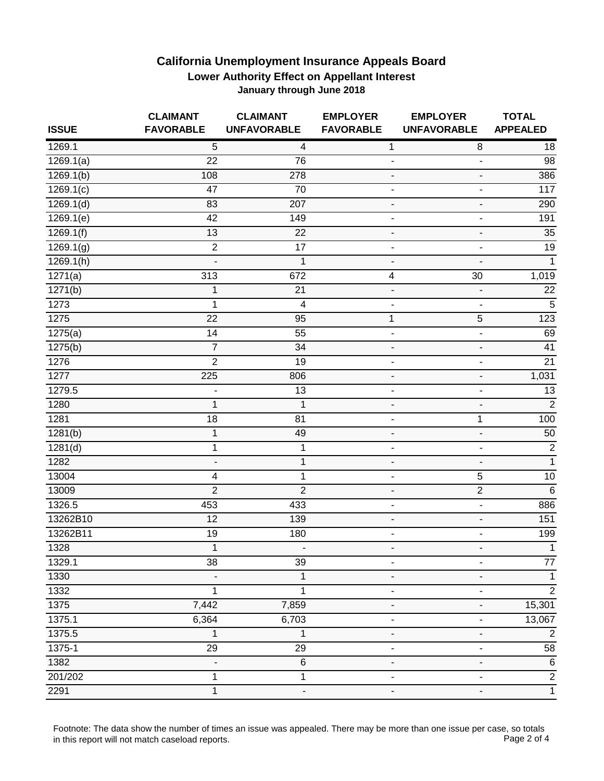| <b>ISSUE</b>            | <b>CLAIMANT</b><br><b>FAVORABLE</b> | <b>CLAIMANT</b><br><b>UNFAVORABLE</b> | <b>EMPLOYER</b><br><b>FAVORABLE</b> | <b>EMPLOYER</b><br><b>UNFAVORABLE</b> | <b>TOTAL</b><br><b>APPEALED</b> |
|-------------------------|-------------------------------------|---------------------------------------|-------------------------------------|---------------------------------------|---------------------------------|
| 1269.1                  | 5                                   | 4                                     | $\mathbf 1$                         | $\,8\,$                               | 18                              |
| $\overline{1}$ 269.1(a) | 22                                  | 76                                    | $\overline{\phantom{a}}$            | $\blacksquare$                        | 98                              |
| 1269.1(b)               | 108                                 | 278                                   | $\overline{\phantom{a}}$            | $\overline{\phantom{a}}$              | 386                             |
| 1269.1(c)               | 47                                  | 70                                    | $\overline{a}$                      | $\qquad \qquad \blacksquare$          | 117                             |
| 1269.1(d)               | 83                                  | 207                                   | $\overline{\phantom{a}}$            | $\blacksquare$                        | 290                             |
| 1269.1(e)               | 42                                  | 149                                   | $\blacksquare$                      | -                                     | 191                             |
| 1269.1(f)               | 13                                  | 22                                    | $\overline{\phantom{a}}$            | $\blacksquare$                        | 35                              |
| 1269.1(g)               | $\overline{2}$                      | $\overline{17}$                       | $\overline{\phantom{a}}$            | $\blacksquare$                        | 19                              |
| 1269.1(h)               | $\overline{\phantom{a}}$            | 1                                     | $\overline{\phantom{a}}$            | $\frac{1}{2}$                         | $\overline{1}$                  |
| $\overline{1271(a)}$    | 313                                 | 672                                   | 4                                   | 30                                    | 1,019                           |
| 1271(b)                 | 1                                   | 21                                    | $\blacksquare$                      | $\overline{\phantom{a}}$              | $\overline{22}$                 |
| 1273                    | $\mathbf{1}$                        | $\overline{4}$                        | $\overline{\phantom{a}}$            | $\overline{\phantom{a}}$              | 5                               |
| 1275                    | 22                                  | 95                                    | $\mathbf 1$                         | 5                                     | 123                             |
| 1275(a)                 | 14                                  | 55                                    | $\overline{\phantom{a}}$            | $\blacksquare$                        | 69                              |
| 1275(b)                 | $\overline{7}$                      | 34                                    | $\overline{\phantom{a}}$            | $\frac{1}{2}$                         | 41                              |
| 1276                    | $\overline{2}$                      | 19                                    | $\overline{\phantom{a}}$            | $\qquad \qquad \blacksquare$          | 21                              |
| 1277                    | 225                                 | 806                                   | $\overline{\phantom{a}}$            | $\blacksquare$                        | 1,031                           |
| 1279.5                  | $\qquad \qquad \blacksquare$        | 13                                    | $\overline{\phantom{a}}$            | $\overline{\phantom{m}}$              | 13                              |
| 1280                    | $\mathbf{1}$                        | $\mathbf{1}$                          | $\overline{\phantom{a}}$            | $\blacksquare$                        | $\overline{2}$                  |
| 1281                    | 18                                  | 81                                    | $\overline{\phantom{a}}$            | 1                                     | 100                             |
| 1281(b)                 | $\mathbf{1}$                        | 49                                    | $\overline{\phantom{a}}$            | $\blacksquare$                        | 50                              |
| 1281(d)                 | $\mathbf 1$                         | 1                                     | $\overline{\phantom{a}}$            | ä,                                    | $\overline{2}$                  |
| 1282                    | $\overline{\phantom{a}}$            | 1                                     | ٠                                   | $\qquad \qquad \blacksquare$          | $\overline{1}$                  |
| 13004                   | $\overline{\mathbf{4}}$             | 1                                     | $\blacksquare$                      | 5                                     | 10                              |
| 13009                   | $\overline{2}$                      | $\overline{2}$                        | $\qquad \qquad \blacksquare$        | $\overline{2}$                        | $6\phantom{1}6$                 |
| 1326.5                  | 453                                 | 433                                   | $\overline{\phantom{a}}$            | $\overline{\phantom{a}}$              | 886                             |
| 13262B10                | 12                                  | 139                                   | $\overline{\phantom{a}}$            | $\overline{\phantom{a}}$              | 151                             |
| 13262B11                | 19                                  | 180                                   | $\overline{\phantom{a}}$            | $\overline{\phantom{a}}$              | 199                             |
| 1328                    | $\mathbf{1}$                        | $\overline{\phantom{a}}$              | $\overline{\phantom{a}}$            | $\overline{\phantom{0}}$              | $\mathbf{1}$                    |
| 1329.1                  | 38                                  | 39                                    | $\overline{\phantom{a}}$            | $\overline{\phantom{m}}$              | $77 \,$                         |
| 1330                    |                                     | 1                                     |                                     | $\blacksquare$                        |                                 |
| 1332                    | 1                                   | 1                                     |                                     | ٠                                     | $\overline{2}$                  |
| 1375                    | 7,442                               | 7,859                                 |                                     | $\blacksquare$                        | 15,301                          |
| 1375.1                  | 6,364                               | 6,703                                 |                                     |                                       | 13,067                          |
| 1375.5                  | 1                                   | 1                                     |                                     | ÷,                                    | $\overline{2}$                  |
| 1375-1                  | 29                                  | 29                                    |                                     | ÷,                                    | 58                              |
| 1382                    | $\qquad \qquad \blacksquare$        | $\,6$                                 | $\overline{\phantom{a}}$            | $\overline{\phantom{m}}$              | $6\phantom{1}6$                 |
| 201/202                 | 1                                   | 1                                     |                                     | $\overline{\phantom{a}}$              | $\overline{2}$                  |
| 2291                    | $\mathbf{1}$                        |                                       |                                     | $\overline{\phantom{a}}$              | $\mathbf{1}$                    |

Footnote: The data show the number of times an issue was appealed. There may be more than one issue per case, so totals<br>Page 2 of 4 in this report will not match caseload reports.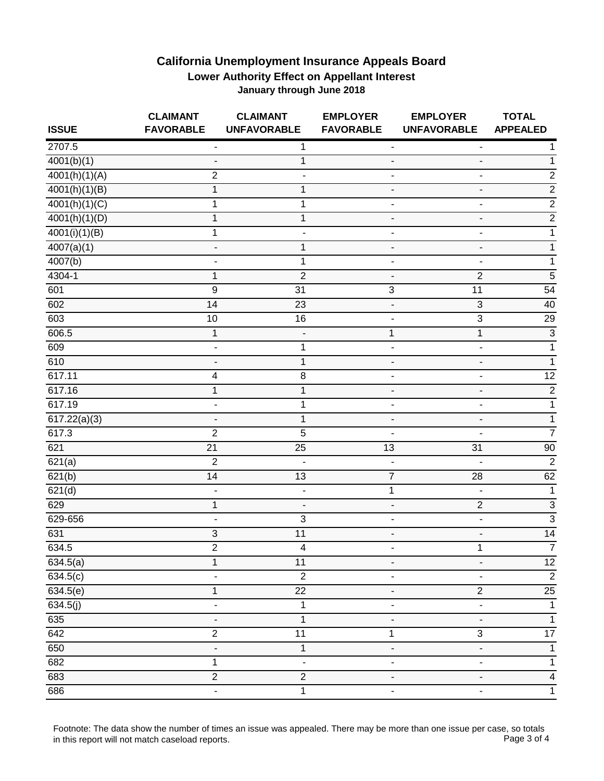| <b>ISSUE</b>               | <b>CLAIMANT</b><br><b>FAVORABLE</b> | <b>CLAIMANT</b><br><b>UNFAVORABLE</b> | <b>EMPLOYER</b><br><b>FAVORABLE</b> | <b>EMPLOYER</b><br><b>UNFAVORABLE</b> | <b>TOTAL</b><br><b>APPEALED</b> |
|----------------------------|-------------------------------------|---------------------------------------|-------------------------------------|---------------------------------------|---------------------------------|
| 2707.5                     | $\overline{\phantom{a}}$            | 1                                     | $\qquad \qquad \blacksquare$        | -                                     |                                 |
| 4001(b)(1)                 | $\overline{\phantom{a}}$            | 1                                     | $\blacksquare$                      | $\overline{a}$                        | 1                               |
| 4001(h)(1)(A)              | $\overline{2}$                      |                                       | $\overline{\phantom{a}}$            | $\overline{\phantom{0}}$              | $\overline{c}$                  |
| $\sqrt{4001(h)(1)(B)}$     | 1                                   | 1                                     | $\overline{\phantom{a}}$            | -                                     | $\overline{2}$                  |
| $\sqrt{4001(h)(1)(C)}$     | 1                                   | 1                                     | $\overline{\phantom{a}}$            | ٠                                     | $\overline{2}$                  |
| $\sqrt{4001(h)}(1)(D)$     | 1                                   | 1                                     | $\overline{\phantom{a}}$            | -                                     | $\overline{c}$                  |
| $\overline{4001(i)(1)(B)}$ | 1                                   | $\overline{\phantom{a}}$              | $\blacksquare$                      | $\blacksquare$                        | $\mathbf 1$                     |
| 4007(a)(1)                 | ÷                                   | 1                                     | $\overline{\phantom{a}}$            | $\qquad \qquad \blacksquare$          | 1                               |
| $\sqrt{4007(b)}$           |                                     | 1                                     | $\overline{\phantom{a}}$            | $\overline{\phantom{a}}$              | 1                               |
| 4304-1                     | $\mathbf 1$                         | $\overline{2}$                        | $\qquad \qquad \blacksquare$        | $\sqrt{2}$                            | $\sqrt{5}$                      |
| 601                        | 9                                   | 31                                    | $\overline{3}$                      | 11                                    | 54                              |
| 602                        | $\overline{14}$                     | $\overline{23}$                       | $\blacksquare$                      | $\overline{3}$                        | 40                              |
| 603                        | 10                                  | 16                                    | $\overline{\phantom{a}}$            | $\sqrt{3}$                            | 29                              |
| 606.5                      | 1                                   |                                       | 1                                   | 1                                     | $\overline{3}$                  |
| 609                        |                                     | 1                                     | $\overline{\phantom{a}}$            | ٠                                     | 1                               |
| 610                        | $\overline{\phantom{a}}$            | $\mathbf{1}$                          | $\overline{\phantom{a}}$            | $\blacksquare$                        | 1                               |
| 617.11                     | $\overline{\mathcal{A}}$            | 8                                     | $\blacksquare$                      | $\overline{\phantom{0}}$              | $\overline{12}$                 |
| 617.16                     | 1                                   | 1                                     |                                     | -                                     | $\overline{2}$                  |
| 617.19                     | $\blacksquare$                      | 1                                     | $\blacksquare$                      | $\blacksquare$                        | $\mathbf 1$                     |
| 617.22(a)(3)               | $\overline{\phantom{a}}$            | 1                                     | $\overline{\phantom{a}}$            | $\overline{\phantom{0}}$              | 1                               |
| 617.3                      | $\overline{2}$                      | 5                                     | $\overline{\phantom{a}}$            | $\overline{a}$                        | $\overline{7}$                  |
| 621                        | $\overline{21}$                     | $\overline{25}$                       | 13                                  | 31                                    | 90                              |
| $\overline{621(a)}$        | $\overline{2}$                      | $\blacksquare$                        | $\blacksquare$                      | $\blacksquare$                        | $\overline{2}$                  |
| 621(b)                     | 14                                  | 13                                    | $\overline{7}$                      | 28                                    | 62                              |
| 621(d)                     | $\blacksquare$                      | $\overline{\phantom{a}}$              | $\mathbf 1$                         | $\blacksquare$                        | $\mathbf{1}$                    |
| 629                        | $\mathbf{1}$                        | $\overline{\phantom{a}}$              | $\blacksquare$                      | $\overline{2}$                        | $\overline{3}$                  |
| 629-656                    |                                     | $\overline{3}$                        | $\overline{\phantom{a}}$            | -                                     | $\overline{3}$                  |
| 631                        | $\sqrt{3}$                          | 11                                    | $\overline{\phantom{a}}$            | $\overline{\phantom{0}}$              | 14                              |
| 634.5                      | $\overline{2}$                      | $\overline{4}$                        | $\overline{\phantom{a}}$            | 1                                     | $\overline{7}$                  |
| 634.5(a)                   | 1                                   | 11                                    | $\overline{a}$                      | $\overline{\phantom{0}}$              | $\overline{12}$                 |
| 634.5(c)                   |                                     | $\overline{2}$                        |                                     |                                       | $\overline{2}$                  |
| 634.5(e)                   | 1                                   | 22                                    | $\overline{\phantom{a}}$            | $\boldsymbol{2}$                      | 25                              |
| 634.5(j)                   | $\blacksquare$                      | $\mathbf{1}$                          | $\blacksquare$                      | $\blacksquare$                        | $\overline{1}$                  |
| 635                        |                                     | $\mathbf 1$                           |                                     | $\overline{\phantom{0}}$              | $\mathbf 1$                     |
| 642                        | $\overline{2}$                      | 11                                    | 1                                   | $\ensuremath{\mathsf{3}}$             | $\overline{17}$                 |
| 650                        |                                     | $\mathbf 1$                           |                                     |                                       | 1                               |
| 682                        | 1                                   | $\overline{\phantom{a}}$              | $\overline{\phantom{a}}$            | $\overline{\phantom{0}}$              | 1                               |
| 683                        | $\overline{2}$                      | $\overline{2}$                        | $\overline{\phantom{a}}$            | $\blacksquare$                        | $\overline{\mathbf{4}}$         |
| 686                        | $\overline{\phantom{0}}$            | 1                                     | $\overline{\phantom{a}}$            | -                                     | $\mathbf 1$                     |

Footnote: The data show the number of times an issue was appealed. There may be more than one issue per case, so totals<br>Page 3 of 4 in this report will not match caseload reports.